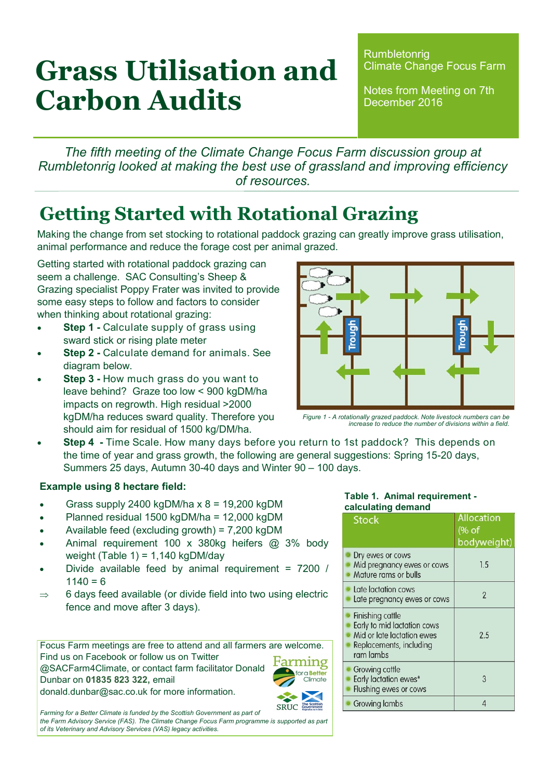# **Grass Utilisation and Carbon Audits**

**Rumbletonrig** Climate Change Focus Farm

Notes from Meeting on 7th December 2016

*The fifth meeting of the Climate Change Focus Farm discussion group at Rumbletonrig looked at making the best use of grassland and improving efficiency of resources.*

### **Getting Started with Rotational Grazing**

Making the change from set stocking to rotational paddock grazing can greatly improve grass utilisation, animal performance and reduce the forage cost per animal grazed.

Getting started with rotational paddock grazing can seem a challenge. SAC Consulting's Sheep & Grazing specialist Poppy Frater was invited to provide some easy steps to follow and factors to consider when thinking about rotational grazing:

- **Step 1 -** Calculate supply of grass using sward stick or rising plate meter
- **Step 2 -** Calculate demand for animals. See diagram below.
- **Step 3 -** How much grass do you want to leave behind? Graze too low < 900 kgDM/ha impacts on regrowth. High residual >2000 kgDM/ha reduces sward quality. Therefore you should aim for residual of 1500 kg/DM/ha.
- **Step 4 -** Time Scale. How many days before you return to 1st paddock? This depends on the time of year and grass growth, the following are general suggestions: Spring 15-20 days, Summers 25 days, Autumn 30-40 days and Winter 90 – 100 days.

### **Example using 8 hectare field:**

- Grass supply 2400 kgDM/ha  $x$  8 = 19,200 kgDM
- Planned residual 1500 kgDM/ha = 12,000 kgDM
- Available feed (excluding growth) = 7,200 kgDM
- Animal requirement 100 x 380kg heifers @ 3% body weight (Table 1) =  $1.140$  kgDM/dav
- Divide available feed by animal requirement = 7200 /  $1140 = 6$
- $\Rightarrow$  6 days feed available (or divide field into two using electric fence and move after 3 days).

Focus Farm meetings are free to attend and all farmers are welcome. Find us on Facebook or follow us on Twitter @SACFarm4Climate, or contact farm facilitator Donald Dunbar on **01835 823 322,** email donald.dunbar@sac.co.uk for more information.



Farming for a Better Climate is funded by the Scottish Government as part of *the Farm Advisory Service (FAS). The Climate Change Focus Farm programme is supported as part of its Veterinary and Advisory Services (VAS) legacy activities.*

| ugno. | nguon |
|-------|-------|
|       |       |
|       |       |

*Figure 1 - A rotationally grazed paddock. Note livestock numbers can be increase to reduce the number of divisions within a field.*

#### **Table 1. Animal requirement calculating demand**

| <b>Stock</b>                                                                                                                 | Allocation<br>(% of<br>bodyweight) |
|------------------------------------------------------------------------------------------------------------------------------|------------------------------------|
| Dry ewes or cows<br>Mid pregnancy ewes or cows<br>Mature rams or bulls                                                       | 1.5                                |
| Late lactation cows<br>Late pregnancy ewes or cows                                                                           | $\overline{2}$                     |
| <b>Finishing cattle</b><br>Early to mid lactation cows<br>Mid or late lactation ewes<br>Replacements, including<br>ram lambs | 2.5                                |
| <b>Growing cattle</b><br>Early lactation ewes*<br>Flushing ewes or cows                                                      | 3                                  |
| Growing lambs                                                                                                                |                                    |